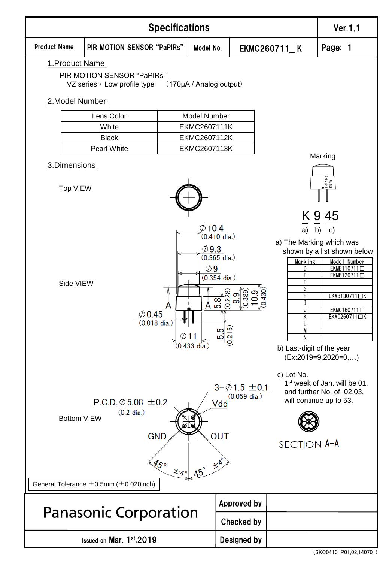

(SKC0410-P01,02,140701)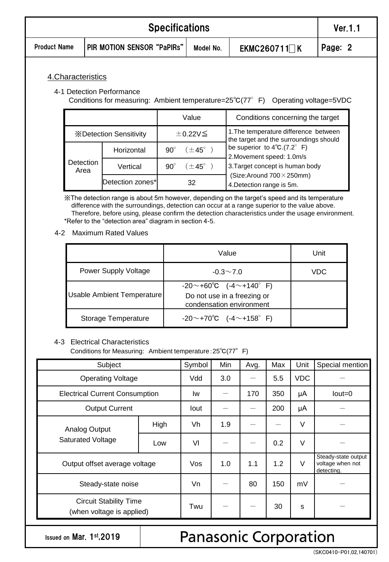|                     | Ver.1.1                    |         |
|---------------------|----------------------------|---------|
| <b>Product Name</b> | PIR MOTION SENSOR "PaPIRs" | Page: 2 |

#### 4.Characteristics

#### 4-1 Detection Performance

Conditions for measuring: Ambient temperature=25℃(77°F) Operating voltage=5VDC

|                                |                        | Value                            | Conditions concerning the target                                                |  |
|--------------------------------|------------------------|----------------------------------|---------------------------------------------------------------------------------|--|
| <b>X</b> Detection Sensitivity |                        | ±0.22V                           | 1. The temperature difference between<br>the target and the surroundings should |  |
| Detection<br>Area              | Horizontal             | $(\pm 45^{\circ})$<br>$90^\circ$ | be superior to $4^{\circ}C.(7.2^{\circ} F)$<br>2. Movement speed: 1.0m/s        |  |
|                                | Vertical               | $(\pm 45^{\circ})$<br>$90^\circ$ | 3. Target concept is human body                                                 |  |
|                                | Detection zones*<br>32 |                                  | (Size: Around $700 \times 250$ mm)<br>4. Detection range is 5m.                 |  |

※The detection range is about 5m however, depending on the target's speed and its temperature difference with the surroundings, detection can occur at a range superior to the value above. Therefore, before using, please confirm the detection characteristics under the usage environment. \*Refer to the "detection area" diagram in section 4-5.

4-2 Maximum Rated Values

|                            | Value                                                                               | Unit |
|----------------------------|-------------------------------------------------------------------------------------|------|
| Power Supply Voltage       | $-0.3 \sim 7.0$                                                                     | VDC  |
| Usable Ambient Temperature | $-20$ ~+60°C (-4~+140°F)<br>Do not use in a freezing or<br>condensation environment |      |
| Storage Temperature        | $-20$ ~+70°C (-4~+158°F)                                                            |      |

#### 4-3 Electrical Characteristics

Conditions for Measuring: Ambient temperature:25℃(77°F)

| Subject                                                    | Symbol | Min  | Avg. | Max | Unit       | Special mention |                                                       |
|------------------------------------------------------------|--------|------|------|-----|------------|-----------------|-------------------------------------------------------|
| <b>Operating Voltage</b>                                   | Vdd    | 3.0  |      | 5.5 | <b>VDC</b> |                 |                                                       |
| <b>Electrical Current Consumption</b>                      | Iw     |      | 170  | 350 | μA         | $Iout = 0$      |                                                       |
| <b>Output Current</b>                                      |        | lout |      |     | 200        | μA              |                                                       |
| Analog Output                                              | High   | Vh   | 1.9  |     |            | V               |                                                       |
| <b>Saturated Voltage</b>                                   | Low    | VI   |      |     | 0.2        | $\vee$          |                                                       |
| Output offset average voltage                              |        | Vos  | 1.0  | 1.1 | 1.2        | $\vee$          | Steady-state output<br>voltage when not<br>detecting. |
| Steady-state noise                                         |        | Vn   |      | 80  | 150        | mV              |                                                       |
| <b>Circuit Stability Time</b><br>(when voltage is applied) | Twu    |      |      | 30  | S          |                 |                                                       |

Issued on Mar. 1st,2019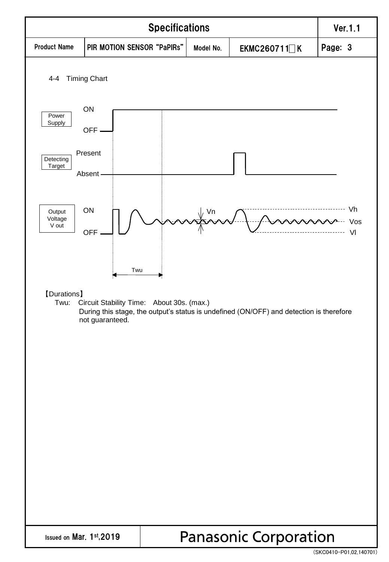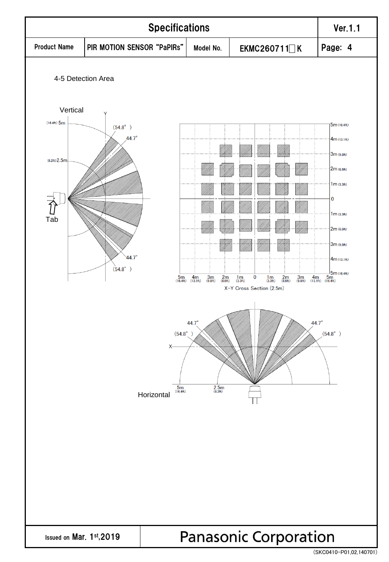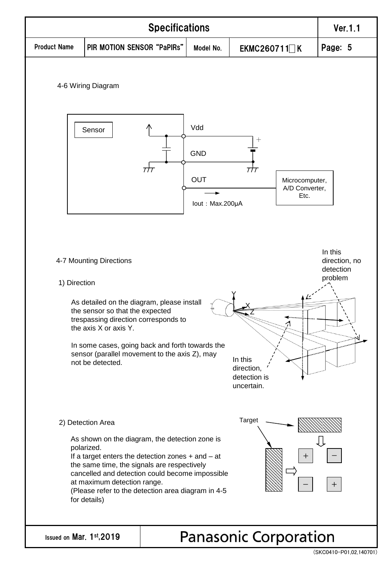

<sup>(</sup>SKC0410-P01,02,140701)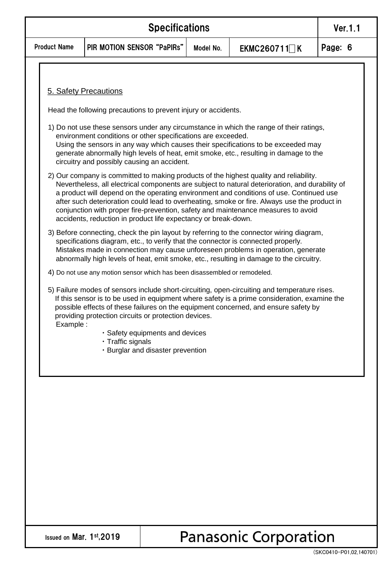|                     | Ver. 1.1                   |           |                     |         |
|---------------------|----------------------------|-----------|---------------------|---------|
| <b>Product Name</b> | PIR MOTION SENSOR "PaPIRs" | Model No. | EKMC260711 $\neg K$ | Page: 6 |

#### 5. Safety Precautions

Head the following precautions to prevent injury or accidents.

- 1) Do not use these sensors under any circumstance in which the range of their ratings, environment conditions or other specifications are exceeded. Using the sensors in any way which causes their specifications to be exceeded may generate abnormally high levels of heat, emit smoke, etc., resulting in damage to the circuitry and possibly causing an accident.
- 2) Our company is committed to making products of the highest quality and reliability. Nevertheless, all electrical components are subject to natural deterioration, and durability of a product will depend on the operating environment and conditions of use. Continued use after such deterioration could lead to overheating, smoke or fire. Always use the product in conjunction with proper fire-prevention, safety and maintenance measures to avoid accidents, reduction in product life expectancy or break-down.
- 3) Before connecting, check the pin layout by referring to the connector wiring diagram, specifications diagram, etc., to verify that the connector is connected properly. Mistakes made in connection may cause unforeseen problems in operation, generate abnormally high levels of heat, emit smoke, etc., resulting in damage to the circuitry.
- 4) Do not use any motion sensor which has been disassembled or remodeled.
- 5) Failure modes of sensors include short-circuiting, open-circuiting and temperature rises. If this sensor is to be used in equipment where safety is a prime consideration, examine the possible effects of these failures on the equipment concerned, and ensure safety by providing protection circuits or protection devices. Example :
	- ・Safety equipments and devices
	- ・Traffic signals
	- ・Burglar and disaster prevention

Issued on Mar. 1st,2019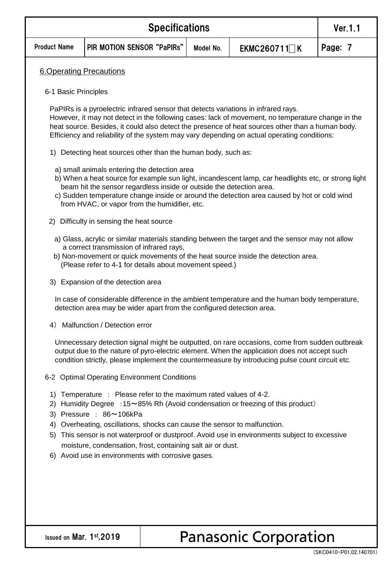|                            | Ver. 1.1                                                                                                                                                                                                                                                                                                                                                                                                                                                           |           |                     |         |  |  |  |  |
|----------------------------|--------------------------------------------------------------------------------------------------------------------------------------------------------------------------------------------------------------------------------------------------------------------------------------------------------------------------------------------------------------------------------------------------------------------------------------------------------------------|-----------|---------------------|---------|--|--|--|--|
| <b>Product Name</b>        | PIR MOTION SENSOR "PaPIRs"                                                                                                                                                                                                                                                                                                                                                                                                                                         | Model No. | EKMC260711 $\Box$ K | Page: 7 |  |  |  |  |
|                            | <b>6.Operating Precautions</b>                                                                                                                                                                                                                                                                                                                                                                                                                                     |           |                     |         |  |  |  |  |
| 6-1 Basic Principles       |                                                                                                                                                                                                                                                                                                                                                                                                                                                                    |           |                     |         |  |  |  |  |
|                            | PaPIRs is a pyroelectric infrared sensor that detects variations in infrared rays.<br>However, it may not detect in the following cases: lack of movement, no temperature change in the<br>heat source. Besides, it could also detect the presence of heat sources other than a human body.<br>Efficiency and reliability of the system may vary depending on actual operating conditions:                                                                         |           |                     |         |  |  |  |  |
| 1)                         | Detecting heat sources other than the human body, such as:                                                                                                                                                                                                                                                                                                                                                                                                         |           |                     |         |  |  |  |  |
|                            | a) small animals entering the detection area<br>b) When a heat source for example sun light, incandescent lamp, car headlights etc, or strong light<br>beam hit the sensor regardless inside or outside the detection area.<br>c) Sudden temperature change inside or around the detection area caused by hot or cold wind<br>from HVAC, or vapor from the humidifier, etc.                                                                                        |           |                     |         |  |  |  |  |
|                            | 2) Difficulty in sensing the heat source                                                                                                                                                                                                                                                                                                                                                                                                                           |           |                     |         |  |  |  |  |
|                            | a) Glass, acrylic or similar materials standing between the target and the sensor may not allow<br>a correct transmission of infrared rays,<br>b) Non-movement or quick movements of the heat source inside the detection area.<br>(Please refer to 4-1 for details about movement speed.)                                                                                                                                                                         |           |                     |         |  |  |  |  |
|                            | 3) Expansion of the detection area                                                                                                                                                                                                                                                                                                                                                                                                                                 |           |                     |         |  |  |  |  |
|                            | In case of considerable difference in the ambient temperature and the human body temperature,<br>detection area may be wider apart from the configured detection area.                                                                                                                                                                                                                                                                                             |           |                     |         |  |  |  |  |
| 4)                         | Malfunction / Detection error                                                                                                                                                                                                                                                                                                                                                                                                                                      |           |                     |         |  |  |  |  |
|                            | Unnecessary detection signal might be outputted, on rare occasions, come from sudden outbreak<br>output due to the nature of pyro-electric element. When the application does not accept such<br>condition strictly, please implement the countermeasure by introducing pulse count circuit etc.                                                                                                                                                                   |           |                     |         |  |  |  |  |
|                            | 6-2 Optimal Operating Environment Conditions                                                                                                                                                                                                                                                                                                                                                                                                                       |           |                     |         |  |  |  |  |
| 1)<br>2)<br>3)<br>4)<br>5) | Temperature : Please refer to the maximum rated values of 4-2.<br>Humidity Degree : 15~85% Rh (Avoid condensation or freezing of this product)<br>Pressure: 86~106kPa<br>Overheating, oscillations, shocks can cause the sensor to malfunction.<br>This sensor is not waterproof or dustproof. Avoid use in environments subject to excessive<br>moisture, condensation, frost, containing salt air or dust.<br>6) Avoid use in environments with corrosive gases. |           |                     |         |  |  |  |  |
|                            |                                                                                                                                                                                                                                                                                                                                                                                                                                                                    |           |                     |         |  |  |  |  |
|                            |                                                                                                                                                                                                                                                                                                                                                                                                                                                                    |           |                     |         |  |  |  |  |

Issued on Mar. 1st,2019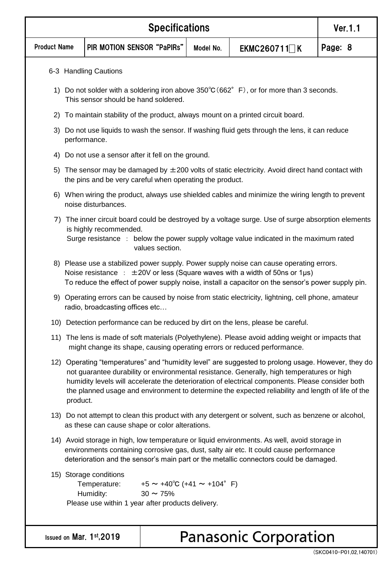|                     | <b>Specifications</b>                                                                                                                                                                                                                                                                                                                                                                                                 |                                                                                                                                                       |                                                               |           |                                                                                                                                                                               |         |  |
|---------------------|-----------------------------------------------------------------------------------------------------------------------------------------------------------------------------------------------------------------------------------------------------------------------------------------------------------------------------------------------------------------------------------------------------------------------|-------------------------------------------------------------------------------------------------------------------------------------------------------|---------------------------------------------------------------|-----------|-------------------------------------------------------------------------------------------------------------------------------------------------------------------------------|---------|--|
| <b>Product Name</b> |                                                                                                                                                                                                                                                                                                                                                                                                                       | PIR MOTION SENSOR "PaPIRs"                                                                                                                            |                                                               | Model No. | EKMC260711   K                                                                                                                                                                | Page: 8 |  |
|                     |                                                                                                                                                                                                                                                                                                                                                                                                                       | 6-3 Handling Cautions                                                                                                                                 |                                                               |           |                                                                                                                                                                               |         |  |
|                     | 1) Do not solder with a soldering iron above $350^{\circ}C(662^{\circ}F)$ , or for more than 3 seconds.<br>This sensor should be hand soldered.                                                                                                                                                                                                                                                                       |                                                                                                                                                       |                                                               |           |                                                                                                                                                                               |         |  |
| 2)                  |                                                                                                                                                                                                                                                                                                                                                                                                                       |                                                                                                                                                       |                                                               |           | To maintain stability of the product, always mount on a printed circuit board.                                                                                                |         |  |
| 3)                  |                                                                                                                                                                                                                                                                                                                                                                                                                       | performance.                                                                                                                                          |                                                               |           | Do not use liquids to wash the sensor. If washing fluid gets through the lens, it can reduce                                                                                  |         |  |
| 4)                  |                                                                                                                                                                                                                                                                                                                                                                                                                       | Do not use a sensor after it fell on the ground.                                                                                                      |                                                               |           |                                                                                                                                                                               |         |  |
|                     |                                                                                                                                                                                                                                                                                                                                                                                                                       | the pins and be very careful when operating the product.                                                                                              |                                                               |           | 5) The sensor may be damaged by $\pm 200$ volts of static electricity. Avoid direct hand contact with                                                                         |         |  |
|                     |                                                                                                                                                                                                                                                                                                                                                                                                                       | noise disturbances.                                                                                                                                   |                                                               |           | 6) When wiring the product, always use shielded cables and minimize the wiring length to prevent                                                                              |         |  |
| 7)                  | The inner circuit board could be destroyed by a voltage surge. Use of surge absorption elements<br>is highly recommended.<br>Surge resistance : below the power supply voltage value indicated in the maximum rated<br>values section.                                                                                                                                                                                |                                                                                                                                                       |                                                               |           |                                                                                                                                                                               |         |  |
|                     | 8) Please use a stabilized power supply. Power supply noise can cause operating errors.<br>Noise resistance : $\pm 20V$ or less (Square waves with a width of 50ns or 1µs)<br>To reduce the effect of power supply noise, install a capacitor on the sensor's power supply pin.                                                                                                                                       |                                                                                                                                                       |                                                               |           |                                                                                                                                                                               |         |  |
|                     |                                                                                                                                                                                                                                                                                                                                                                                                                       | 9) Operating errors can be caused by noise from static electricity, lightning, cell phone, amateur<br>radio, broadcasting offices etc                 |                                                               |           |                                                                                                                                                                               |         |  |
|                     |                                                                                                                                                                                                                                                                                                                                                                                                                       |                                                                                                                                                       |                                                               |           | 10) Detection performance can be reduced by dirt on the lens, please be careful.                                                                                              |         |  |
|                     |                                                                                                                                                                                                                                                                                                                                                                                                                       |                                                                                                                                                       |                                                               |           | 11) The lens is made of soft materials (Polyethylene). Please avoid adding weight or impacts that<br>might change its shape, causing operating errors or reduced performance. |         |  |
|                     | 12) Operating "temperatures" and "humidity level" are suggested to prolong usage. However, they do<br>not guarantee durability or environmental resistance. Generally, high temperatures or high<br>humidity levels will accelerate the deterioration of electrical components. Please consider both<br>the planned usage and environment to determine the expected reliability and length of life of the<br>product. |                                                                                                                                                       |                                                               |           |                                                                                                                                                                               |         |  |
|                     |                                                                                                                                                                                                                                                                                                                                                                                                                       | 13) Do not attempt to clean this product with any detergent or solvent, such as benzene or alcohol,<br>as these can cause shape or color alterations. |                                                               |           |                                                                                                                                                                               |         |  |
|                     | 14) Avoid storage in high, low temperature or liquid environments. As well, avoid storage in<br>environments containing corrosive gas, dust, salty air etc. It could cause performance<br>deterioration and the sensor's main part or the metallic connectors could be damaged.                                                                                                                                       |                                                                                                                                                       |                                                               |           |                                                                                                                                                                               |         |  |
|                     |                                                                                                                                                                                                                                                                                                                                                                                                                       | 15) Storage conditions<br>Temperature:<br>Humidity:<br>Please use within 1 year after products delivery.                                              | $+5 \sim +40^{\circ}C$ (+41 $\sim$ +104° F)<br>$30 \sim 75\%$ |           |                                                                                                                                                                               |         |  |
|                     |                                                                                                                                                                                                                                                                                                                                                                                                                       |                                                                                                                                                       |                                                               |           |                                                                                                                                                                               |         |  |
|                     |                                                                                                                                                                                                                                                                                                                                                                                                                       | Issued on Mar. 1st, 2019                                                                                                                              |                                                               |           | <b>Panasonic Corporation</b>                                                                                                                                                  |         |  |

(SKC0410-P01,02,140701)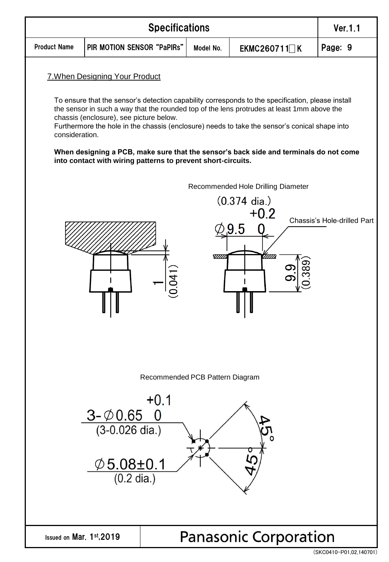